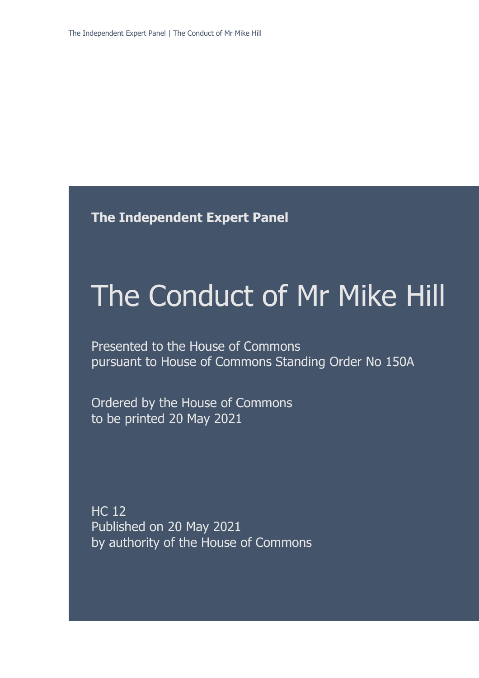**The Independent Expert Panel**

# The Conduct of Mr Mike Hill

Presented to the House of Commons pursuant to House of Commons Standing Order No 150A

Ordered by the House of Commons to be printed 20 May 2021

HC 12 Published on 20 May 2021 by authority of the House of Commons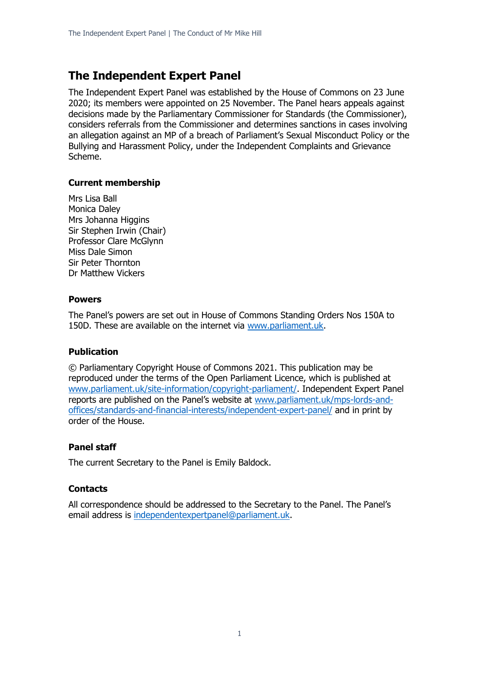# **The Independent Expert Panel**

The Independent Expert Panel was established by the House of Commons on 23 June 2020; its members were appointed on 25 November. The Panel hears appeals against decisions made by the Parliamentary Commissioner for Standards (the Commissioner), considers referrals from the Commissioner and determines sanctions in cases involving an allegation against an MP of a breach of Parliament's Sexual Misconduct Policy or the Bullying and Harassment Policy, under the Independent Complaints and Grievance Scheme.

# **Current membership**

Mrs Lisa Ball Monica Daley Mrs Johanna Higgins Sir Stephen Irwin (Chair) Professor Clare McGlynn Miss Dale Simon Sir Peter Thornton Dr Matthew Vickers

# **Powers**

The Panel's powers are set out in House of Commons Standing Orders Nos 150A to 150D. These are available on the internet via [www.parliament.uk.](http://www.parliament.uk/)

# **Publication**

© Parliamentary Copyright House of Commons 2021. This publication may be reproduced under the terms of the Open Parliament Licence, which is published at [www.parliament.uk/site-information/copyright-parliament/.](http://www.parliament.uk/site-information/copyright-parliament/) Independent Expert Panel reports are published on the Panel's website at [www.parliament.uk/mps-lords-and](http://www.parliament.uk/mps-lords-and-offices/standards-and-financial-interests/independent-expert-panel/)[offices/standards-and-financial-interests/independent-expert-panel/](http://www.parliament.uk/mps-lords-and-offices/standards-and-financial-interests/independent-expert-panel/) and in print by order of the House.

# **Panel staff**

The current Secretary to the Panel is Emily Baldock.

# **Contacts**

All correspondence should be addressed to the Secretary to the Panel. The Panel's email address is [independentexpertpanel@parliament.uk.](mailto:independentexpertpanel@parliament.uk)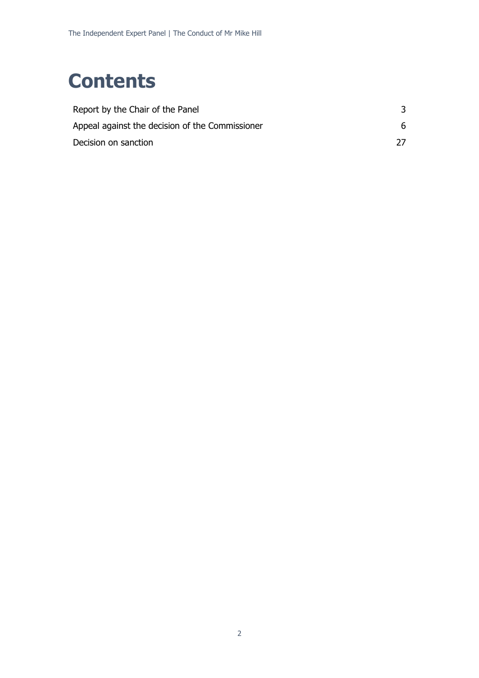# **Contents**

| Report by the Chair of the Panel                |    |
|-------------------------------------------------|----|
| Appeal against the decision of the Commissioner | 6. |
| Decision on sanction                            |    |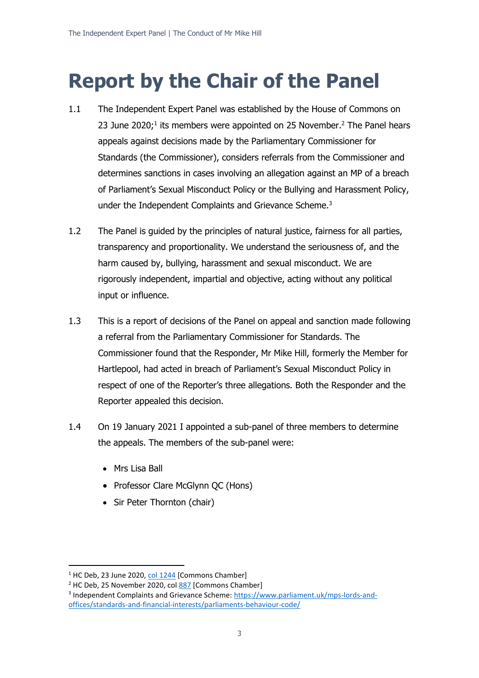# **Report by the Chair of the Panel**

- 1.1 The Independent Expert Panel was established by the House of Commons on 23 June 2020;<sup>1</sup> its members were appointed on 25 November.<sup>2</sup> The Panel hears appeals against decisions made by the Parliamentary Commissioner for Standards (the Commissioner), considers referrals from the Commissioner and determines sanctions in cases involving an allegation against an MP of a breach of Parliament's Sexual Misconduct Policy or the Bullying and Harassment Policy, under the Independent Complaints and Grievance Scheme.<sup>3</sup>
- 1.2 The Panel is guided by the principles of natural justice, fairness for all parties, transparency and proportionality. We understand the seriousness of, and the harm caused by, bullying, harassment and sexual misconduct. We are rigorously independent, impartial and objective, acting without any political input or influence.
- 1.3 This is a report of decisions of the Panel on appeal and sanction made following a referral from the Parliamentary Commissioner for Standards. The Commissioner found that the Responder, Mr Mike Hill, formerly the Member for Hartlepool, had acted in breach of Parliament's Sexual Misconduct Policy in respect of one of the Reporter's three allegations. Both the Responder and the Reporter appealed this decision.
- 1.4 On 19 January 2021 I appointed a sub-panel of three members to determine the appeals. The members of the sub-panel were:
	- Mrs Lisa Ball
	- Professor Clare McGlynn QC (Hons)
	- Sir Peter Thornton (chair)

 $1$  HC Deb, 23 June 2020, [col 1244](https://hansard.parliament.uk/commons/2020-06-23/debates/9646C6AF-0D3A-424B-8949-E809F658DB4C/IndependentComplaintsAndGrievanceScheme) [Commons Chamber]

<sup>&</sup>lt;sup>2</sup> HC Deb, 25 November 2020, col [887](https://hansard.parliament.uk/commons/2020-11-25/debates/68BE444A-B6D4-42FC-BA02-8658937A0A1A/IndependentExpertPanel) [Commons Chamber]

<sup>&</sup>lt;sup>3</sup> Independent Complaints and Grievance Scheme: [https://www.parliament.uk/mps-lords-and](https://www.parliament.uk/mps-lords-and-offices/standards-and-financial-interests/parliaments-behaviour-code/)[offices/standards-and-financial-interests/parliaments-behaviour-code/](https://www.parliament.uk/mps-lords-and-offices/standards-and-financial-interests/parliaments-behaviour-code/)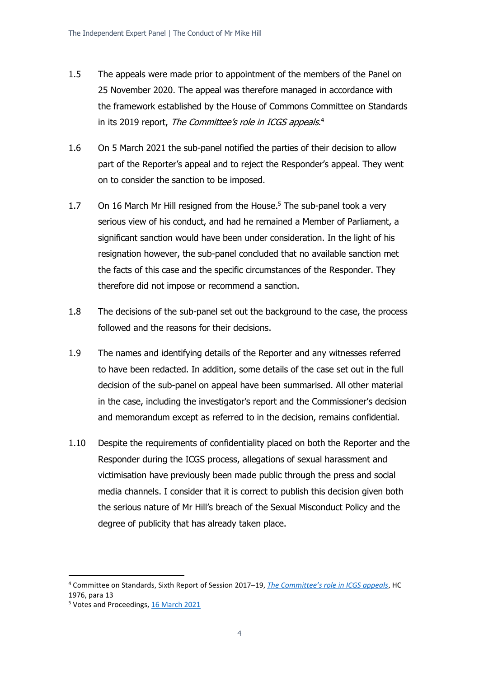- 1.5 The appeals were made prior to appointment of the members of the Panel on 25 November 2020. The appeal was therefore managed in accordance with the framework established by the House of Commons Committee on Standards in its 2019 report, *The Committee's role in ICGS appeals*.<sup>4</sup>
- 1.6 On 5 March 2021 the sub-panel notified the parties of their decision to allow part of the Reporter's appeal and to reject the Responder's appeal. They went on to consider the sanction to be imposed.
- 1.7 On 16 March Mr Hill resigned from the House.<sup>5</sup> The sub-panel took a very serious view of his conduct, and had he remained a Member of Parliament, a significant sanction would have been under consideration. In the light of his resignation however, the sub-panel concluded that no available sanction met the facts of this case and the specific circumstances of the Responder. They therefore did not impose or recommend a sanction.
- 1.8 The decisions of the sub-panel set out the background to the case, the process followed and the reasons for their decisions.
- 1.9 The names and identifying details of the Reporter and any witnesses referred to have been redacted. In addition, some details of the case set out in the full decision of the sub-panel on appeal have been summarised. All other material in the case, including the investigator's report and the Commissioner's decision and memorandum except as referred to in the decision, remains confidential.
- 1.10 Despite the requirements of confidentiality placed on both the Reporter and the Responder during the ICGS process, allegations of sexual harassment and victimisation have previously been made public through the press and social media channels. I consider that it is correct to publish this decision given both the serious nature of Mr Hill's breach of the Sexual Misconduct Policy and the degree of publicity that has already taken place.

<sup>4</sup> Committee on Standards, Sixth Report of Session 2017–19, *[The Committee's role in ICGS appeals](https://publications.parliament.uk/pa/cm201719/cmselect/cmstandards/1976/1976.pdf)*, HC 1976, para 13

<sup>5</sup> Votes and Proceedings, [16 March 2021](https://commonsbusiness.parliament.uk/document/46225/html#anchor-12)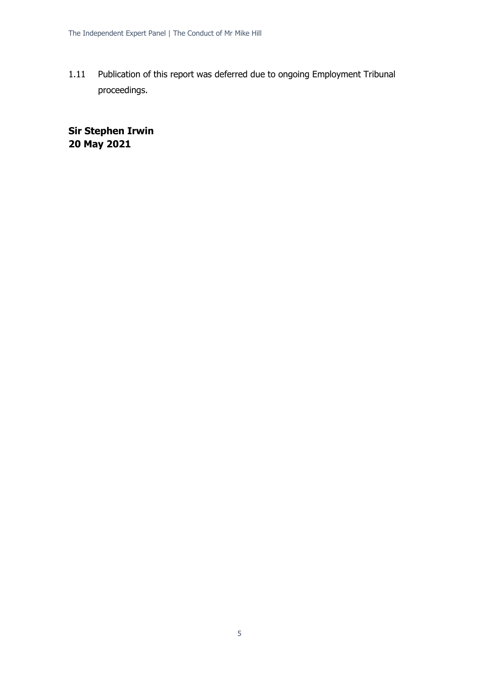1.11 Publication of this report was deferred due to ongoing Employment Tribunal proceedings.

**Sir Stephen Irwin 20 May 2021**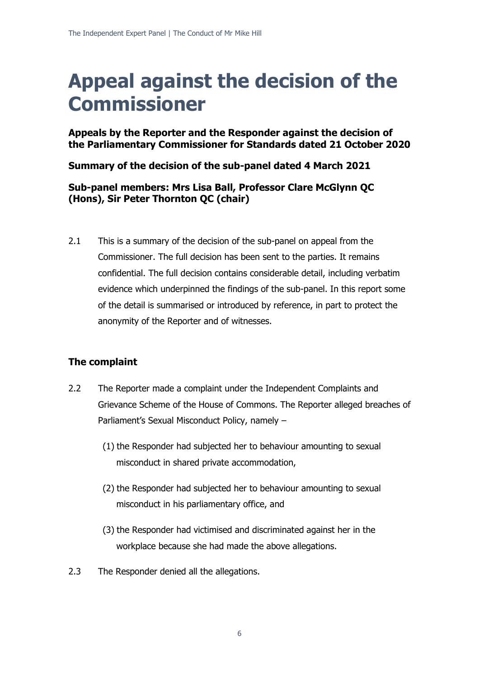# **Appeal against the decision of the Commissioner**

**Appeals by the Reporter and the Responder against the decision of the Parliamentary Commissioner for Standards dated 21 October 2020**

**Summary of the decision of the sub-panel dated 4 March 2021**

# **Sub-panel members: Mrs Lisa Ball, Professor Clare McGlynn QC (Hons), Sir Peter Thornton QC (chair)**

2.1 This is a summary of the decision of the sub-panel on appeal from the Commissioner. The full decision has been sent to the parties. It remains confidential. The full decision contains considerable detail, including verbatim evidence which underpinned the findings of the sub-panel. In this report some of the detail is summarised or introduced by reference, in part to protect the anonymity of the Reporter and of witnesses.

# **The complaint**

- 2.2 The Reporter made a complaint under the Independent Complaints and Grievance Scheme of the House of Commons. The Reporter alleged breaches of Parliament's Sexual Misconduct Policy, namely –
	- (1) the Responder had subjected her to behaviour amounting to sexual misconduct in shared private accommodation,
	- (2) the Responder had subjected her to behaviour amounting to sexual misconduct in his parliamentary office, and
	- (3) the Responder had victimised and discriminated against her in the workplace because she had made the above allegations.
- 2.3 The Responder denied all the allegations.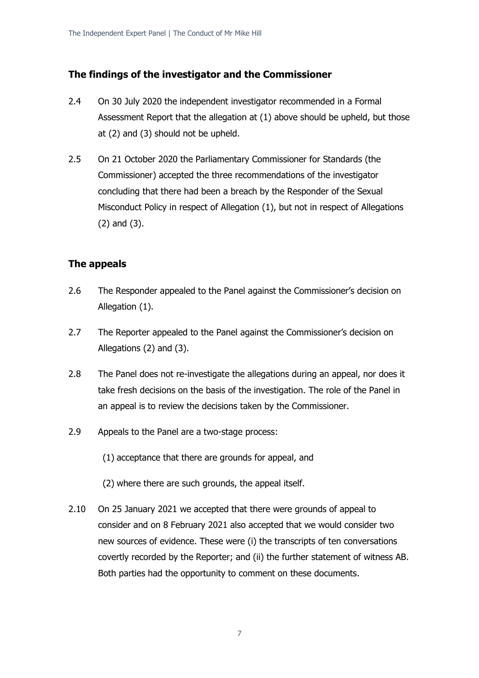# **The findings of the investigator and the Commissioner**

- 2.4 On 30 July 2020 the independent investigator recommended in a Formal Assessment Report that the allegation at (1) above should be upheld, but those at (2) and (3) should not be upheld.
- 2.5 On 21 October 2020 the Parliamentary Commissioner for Standards (the Commissioner) accepted the three recommendations of the investigator concluding that there had been a breach by the Responder of the Sexual Misconduct Policy in respect of Allegation (1), but not in respect of Allegations (2) and (3).

# **The appeals**

- 2.6 The Responder appealed to the Panel against the Commissioner's decision on Allegation (1).
- 2.7 The Reporter appealed to the Panel against the Commissioner's decision on Allegations (2) and (3).
- 2.8 The Panel does not re-investigate the allegations during an appeal, nor does it take fresh decisions on the basis of the investigation. The role of the Panel in an appeal is to review the decisions taken by the Commissioner.
- 2.9 Appeals to the Panel are a two-stage process:

(1) acceptance that there are grounds for appeal, and

- (2) where there are such grounds, the appeal itself.
- 2.10 On 25 January 2021 we accepted that there were grounds of appeal to consider and on 8 February 2021 also accepted that we would consider two new sources of evidence. These were (i) the transcripts of ten conversations covertly recorded by the Reporter; and (ii) the further statement of witness AB. Both parties had the opportunity to comment on these documents.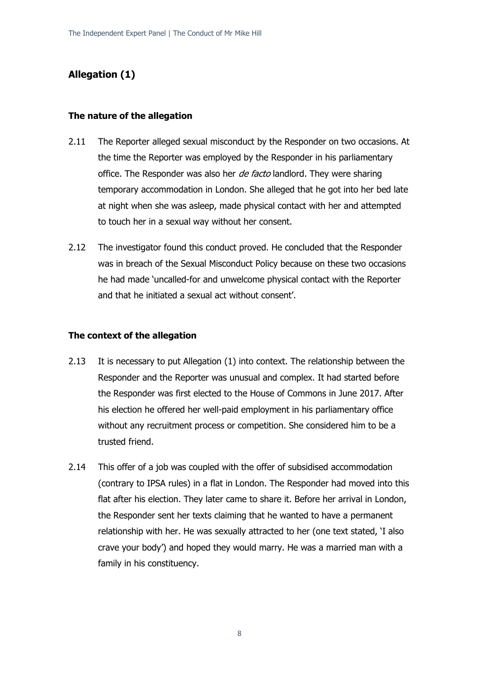# **Allegation (1)**

#### **The nature of the allegation**

- 2.11 The Reporter alleged sexual misconduct by the Responder on two occasions. At the time the Reporter was employed by the Responder in his parliamentary office. The Responder was also her *de facto* landlord. They were sharing temporary accommodation in London. She alleged that he got into her bed late at night when she was asleep, made physical contact with her and attempted to touch her in a sexual way without her consent.
- 2.12 The investigator found this conduct proved. He concluded that the Responder was in breach of the Sexual Misconduct Policy because on these two occasions he had made 'uncalled-for and unwelcome physical contact with the Reporter and that he initiated a sexual act without consent'.

### **The context of the allegation**

- 2.13 It is necessary to put Allegation (1) into context. The relationship between the Responder and the Reporter was unusual and complex. It had started before the Responder was first elected to the House of Commons in June 2017. After his election he offered her well-paid employment in his parliamentary office without any recruitment process or competition. She considered him to be a trusted friend.
- 2.14 This offer of a job was coupled with the offer of subsidised accommodation (contrary to IPSA rules) in a flat in London. The Responder had moved into this flat after his election. They later came to share it. Before her arrival in London, the Responder sent her texts claiming that he wanted to have a permanent relationship with her. He was sexually attracted to her (one text stated, 'I also crave your body') and hoped they would marry. He was a married man with a family in his constituency.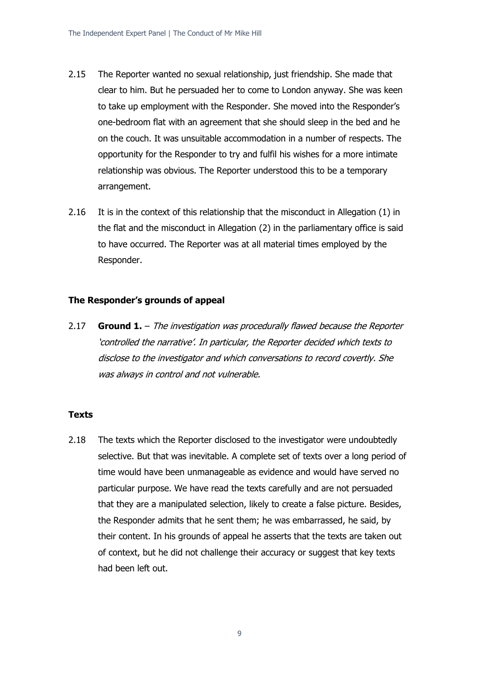- 2.15 The Reporter wanted no sexual relationship, just friendship. She made that clear to him. But he persuaded her to come to London anyway. She was keen to take up employment with the Responder. She moved into the Responder's one-bedroom flat with an agreement that she should sleep in the bed and he on the couch. It was unsuitable accommodation in a number of respects. The opportunity for the Responder to try and fulfil his wishes for a more intimate relationship was obvious. The Reporter understood this to be a temporary arrangement.
- 2.16 It is in the context of this relationship that the misconduct in Allegation (1) in the flat and the misconduct in Allegation (2) in the parliamentary office is said to have occurred. The Reporter was at all material times employed by the Responder.

#### **The Responder's grounds of appeal**

2.17 **Ground 1.** – The investigation was procedurally flawed because the Reporter 'controlled the narrative'. In particular, the Reporter decided which texts to disclose to the investigator and which conversations to record covertly. She was always in control and not vulnerable.

#### **Texts**

2.18 The texts which the Reporter disclosed to the investigator were undoubtedly selective. But that was inevitable. A complete set of texts over a long period of time would have been unmanageable as evidence and would have served no particular purpose. We have read the texts carefully and are not persuaded that they are a manipulated selection, likely to create a false picture. Besides, the Responder admits that he sent them; he was embarrassed, he said, by their content. In his grounds of appeal he asserts that the texts are taken out of context, but he did not challenge their accuracy or suggest that key texts had been left out.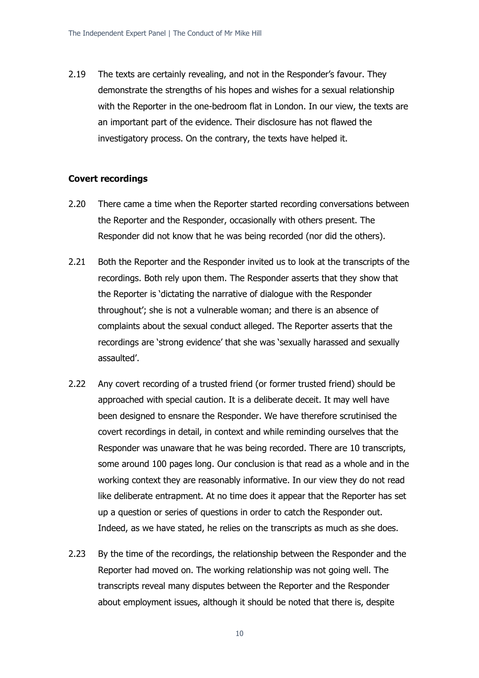2.19 The texts are certainly revealing, and not in the Responder's favour. They demonstrate the strengths of his hopes and wishes for a sexual relationship with the Reporter in the one-bedroom flat in London. In our view, the texts are an important part of the evidence. Their disclosure has not flawed the investigatory process. On the contrary, the texts have helped it.

#### **Covert recordings**

- 2.20 There came a time when the Reporter started recording conversations between the Reporter and the Responder, occasionally with others present. The Responder did not know that he was being recorded (nor did the others).
- 2.21 Both the Reporter and the Responder invited us to look at the transcripts of the recordings. Both rely upon them. The Responder asserts that they show that the Reporter is 'dictating the narrative of dialogue with the Responder throughout'; she is not a vulnerable woman; and there is an absence of complaints about the sexual conduct alleged. The Reporter asserts that the recordings are 'strong evidence' that she was 'sexually harassed and sexually assaulted'.
- 2.22 Any covert recording of a trusted friend (or former trusted friend) should be approached with special caution. It is a deliberate deceit. It may well have been designed to ensnare the Responder. We have therefore scrutinised the covert recordings in detail, in context and while reminding ourselves that the Responder was unaware that he was being recorded. There are 10 transcripts, some around 100 pages long. Our conclusion is that read as a whole and in the working context they are reasonably informative. In our view they do not read like deliberate entrapment. At no time does it appear that the Reporter has set up a question or series of questions in order to catch the Responder out. Indeed, as we have stated, he relies on the transcripts as much as she does.
- 2.23 By the time of the recordings, the relationship between the Responder and the Reporter had moved on. The working relationship was not going well. The transcripts reveal many disputes between the Reporter and the Responder about employment issues, although it should be noted that there is, despite

10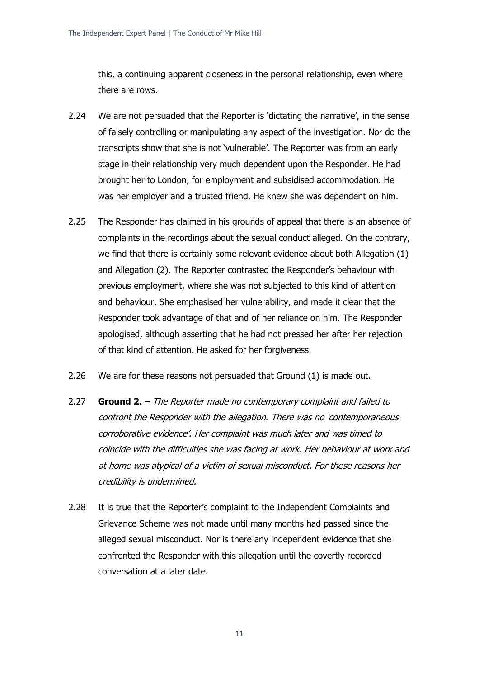this, a continuing apparent closeness in the personal relationship, even where there are rows.

- 2.24 We are not persuaded that the Reporter is 'dictating the narrative', in the sense of falsely controlling or manipulating any aspect of the investigation. Nor do the transcripts show that she is not 'vulnerable'. The Reporter was from an early stage in their relationship very much dependent upon the Responder. He had brought her to London, for employment and subsidised accommodation. He was her employer and a trusted friend. He knew she was dependent on him.
- 2.25 The Responder has claimed in his grounds of appeal that there is an absence of complaints in the recordings about the sexual conduct alleged. On the contrary, we find that there is certainly some relevant evidence about both Allegation (1) and Allegation (2). The Reporter contrasted the Responder's behaviour with previous employment, where she was not subjected to this kind of attention and behaviour. She emphasised her vulnerability, and made it clear that the Responder took advantage of that and of her reliance on him. The Responder apologised, although asserting that he had not pressed her after her rejection of that kind of attention. He asked for her forgiveness.
- 2.26 We are for these reasons not persuaded that Ground (1) is made out.
- 2.27 **Ground 2.** The Reporter made no contemporary complaint and failed to confront the Responder with the allegation. There was no 'contemporaneous corroborative evidence'. Her complaint was much later and was timed to coincide with the difficulties she was facing at work. Her behaviour at work and at home was atypical of a victim of sexual misconduct. For these reasons her credibility is undermined.
- 2.28 It is true that the Reporter's complaint to the Independent Complaints and Grievance Scheme was not made until many months had passed since the alleged sexual misconduct. Nor is there any independent evidence that she confronted the Responder with this allegation until the covertly recorded conversation at a later date.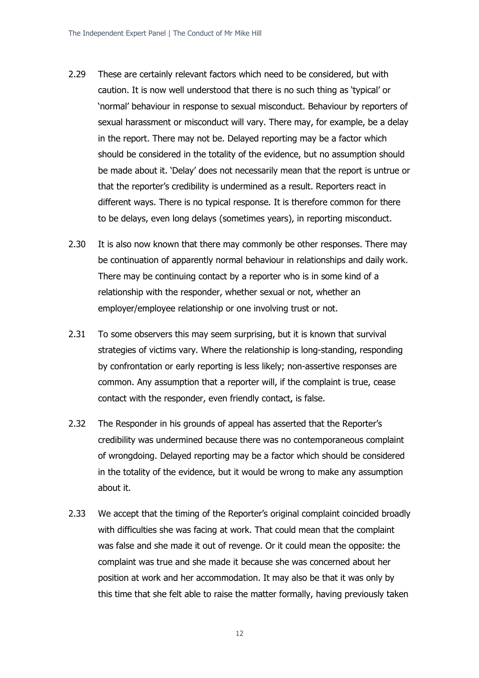- 2.29 These are certainly relevant factors which need to be considered, but with caution. It is now well understood that there is no such thing as 'typical' or 'normal' behaviour in response to sexual misconduct. Behaviour by reporters of sexual harassment or misconduct will vary. There may, for example, be a delay in the report. There may not be. Delayed reporting may be a factor which should be considered in the totality of the evidence, but no assumption should be made about it. 'Delay' does not necessarily mean that the report is untrue or that the reporter's credibility is undermined as a result. Reporters react in different ways. There is no typical response. It is therefore common for there to be delays, even long delays (sometimes years), in reporting misconduct.
- 2.30 It is also now known that there may commonly be other responses. There may be continuation of apparently normal behaviour in relationships and daily work. There may be continuing contact by a reporter who is in some kind of a relationship with the responder, whether sexual or not, whether an employer/employee relationship or one involving trust or not.
- 2.31 To some observers this may seem surprising, but it is known that survival strategies of victims vary. Where the relationship is long-standing, responding by confrontation or early reporting is less likely; non-assertive responses are common. Any assumption that a reporter will, if the complaint is true, cease contact with the responder, even friendly contact, is false.
- 2.32 The Responder in his grounds of appeal has asserted that the Reporter's credibility was undermined because there was no contemporaneous complaint of wrongdoing. Delayed reporting may be a factor which should be considered in the totality of the evidence, but it would be wrong to make any assumption about it.
- 2.33 We accept that the timing of the Reporter's original complaint coincided broadly with difficulties she was facing at work. That could mean that the complaint was false and she made it out of revenge. Or it could mean the opposite: the complaint was true and she made it because she was concerned about her position at work and her accommodation. It may also be that it was only by this time that she felt able to raise the matter formally, having previously taken

12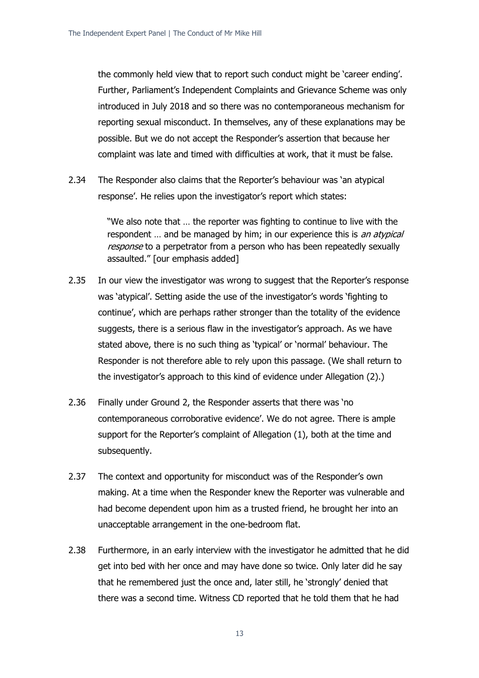the commonly held view that to report such conduct might be 'career ending'. Further, Parliament's Independent Complaints and Grievance Scheme was only introduced in July 2018 and so there was no contemporaneous mechanism for reporting sexual misconduct. In themselves, any of these explanations may be possible. But we do not accept the Responder's assertion that because her complaint was late and timed with difficulties at work, that it must be false.

2.34 The Responder also claims that the Reporter's behaviour was 'an atypical response'. He relies upon the investigator's report which states:

> "We also note that … the reporter was fighting to continue to live with the respondent ... and be managed by him; in our experience this is an atypical response to a perpetrator from a person who has been repeatedly sexually assaulted." [our emphasis added]

- 2.35 In our view the investigator was wrong to suggest that the Reporter's response was 'atypical'. Setting aside the use of the investigator's words 'fighting to continue', which are perhaps rather stronger than the totality of the evidence suggests, there is a serious flaw in the investigator's approach. As we have stated above, there is no such thing as 'typical' or 'normal' behaviour. The Responder is not therefore able to rely upon this passage. (We shall return to the investigator's approach to this kind of evidence under Allegation (2).)
- 2.36 Finally under Ground 2, the Responder asserts that there was 'no contemporaneous corroborative evidence'. We do not agree. There is ample support for the Reporter's complaint of Allegation (1), both at the time and subsequently.
- 2.37 The context and opportunity for misconduct was of the Responder's own making. At a time when the Responder knew the Reporter was vulnerable and had become dependent upon him as a trusted friend, he brought her into an unacceptable arrangement in the one-bedroom flat.
- 2.38 Furthermore, in an early interview with the investigator he admitted that he did get into bed with her once and may have done so twice. Only later did he say that he remembered just the once and, later still, he 'strongly' denied that there was a second time. Witness CD reported that he told them that he had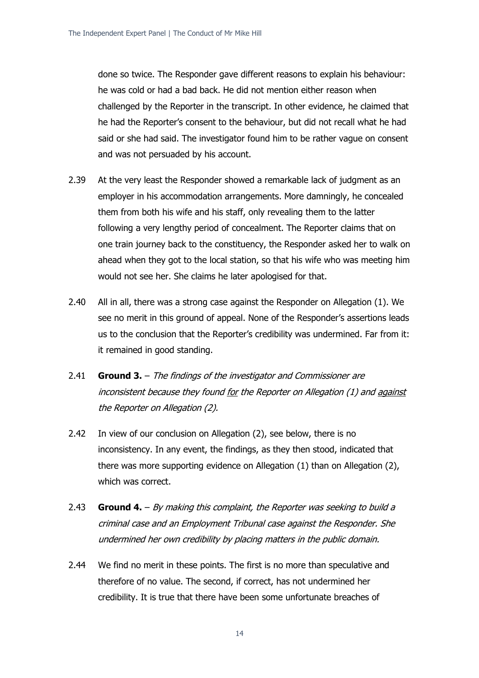done so twice. The Responder gave different reasons to explain his behaviour: he was cold or had a bad back. He did not mention either reason when challenged by the Reporter in the transcript. In other evidence, he claimed that he had the Reporter's consent to the behaviour, but did not recall what he had said or she had said. The investigator found him to be rather vague on consent and was not persuaded by his account.

- 2.39 At the very least the Responder showed a remarkable lack of judgment as an employer in his accommodation arrangements. More damningly, he concealed them from both his wife and his staff, only revealing them to the latter following a very lengthy period of concealment. The Reporter claims that on one train journey back to the constituency, the Responder asked her to walk on ahead when they got to the local station, so that his wife who was meeting him would not see her. She claims he later apologised for that.
- 2.40 All in all, there was a strong case against the Responder on Allegation (1). We see no merit in this ground of appeal. None of the Responder's assertions leads us to the conclusion that the Reporter's credibility was undermined. Far from it: it remained in good standing.
- 2.41 **Ground 3.** The findings of the investigator and Commissioner are inconsistent because they found for the Reporter on Allegation (1) and against the Reporter on Allegation (2).
- 2.42 In view of our conclusion on Allegation (2), see below, there is no inconsistency. In any event, the findings, as they then stood, indicated that there was more supporting evidence on Allegation (1) than on Allegation (2), which was correct.
- 2.43 **Ground 4.** By making this complaint, the Reporter was seeking to build a criminal case and an Employment Tribunal case against the Responder. She undermined her own credibility by placing matters in the public domain.
- 2.44 We find no merit in these points. The first is no more than speculative and therefore of no value. The second, if correct, has not undermined her credibility. It is true that there have been some unfortunate breaches of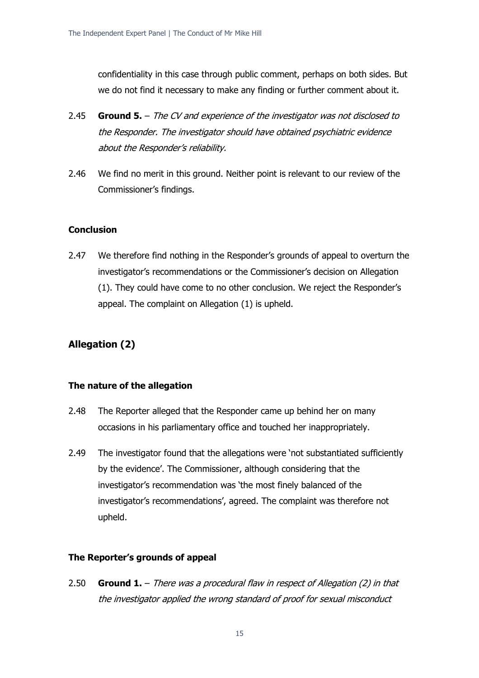confidentiality in this case through public comment, perhaps on both sides. But we do not find it necessary to make any finding or further comment about it.

- 2.45 **Ground 5.** The CV and experience of the investigator was not disclosed to the Responder. The investigator should have obtained psychiatric evidence about the Responder's reliability.
- 2.46 We find no merit in this ground. Neither point is relevant to our review of the Commissioner's findings.

#### **Conclusion**

2.47 We therefore find nothing in the Responder's grounds of appeal to overturn the investigator's recommendations or the Commissioner's decision on Allegation (1). They could have come to no other conclusion. We reject the Responder's appeal. The complaint on Allegation (1) is upheld.

# **Allegation (2)**

#### **The nature of the allegation**

- 2.48 The Reporter alleged that the Responder came up behind her on many occasions in his parliamentary office and touched her inappropriately.
- 2.49 The investigator found that the allegations were 'not substantiated sufficiently by the evidence'. The Commissioner, although considering that the investigator's recommendation was 'the most finely balanced of the investigator's recommendations', agreed. The complaint was therefore not upheld.

#### **The Reporter's grounds of appeal**

2.50 **Ground 1.** – There was a procedural flaw in respect of Allegation (2) in that the investigator applied the wrong standard of proof for sexual misconduct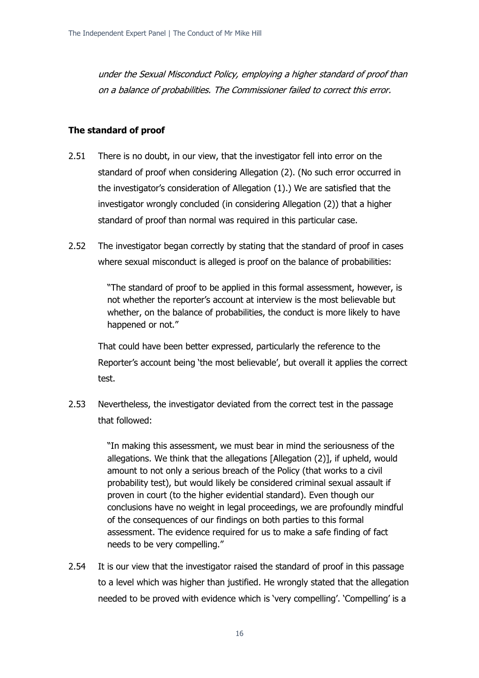under the Sexual Misconduct Policy, employing a higher standard of proof than on a balance of probabilities. The Commissioner failed to correct this error.

### **The standard of proof**

- 2.51 There is no doubt, in our view, that the investigator fell into error on the standard of proof when considering Allegation (2). (No such error occurred in the investigator's consideration of Allegation (1).) We are satisfied that the investigator wrongly concluded (in considering Allegation (2)) that a higher standard of proof than normal was required in this particular case.
- 2.52 The investigator began correctly by stating that the standard of proof in cases where sexual misconduct is alleged is proof on the balance of probabilities:

"The standard of proof to be applied in this formal assessment, however, is not whether the reporter's account at interview is the most believable but whether, on the balance of probabilities, the conduct is more likely to have happened or not."

That could have been better expressed, particularly the reference to the Reporter's account being 'the most believable', but overall it applies the correct test.

2.53 Nevertheless, the investigator deviated from the correct test in the passage that followed:

> "In making this assessment, we must bear in mind the seriousness of the allegations. We think that the allegations [Allegation (2)], if upheld, would amount to not only a serious breach of the Policy (that works to a civil probability test), but would likely be considered criminal sexual assault if proven in court (to the higher evidential standard). Even though our conclusions have no weight in legal proceedings, we are profoundly mindful of the consequences of our findings on both parties to this formal assessment. The evidence required for us to make a safe finding of fact needs to be very compelling."

2.54 It is our view that the investigator raised the standard of proof in this passage to a level which was higher than justified. He wrongly stated that the allegation needed to be proved with evidence which is 'very compelling'. 'Compelling' is a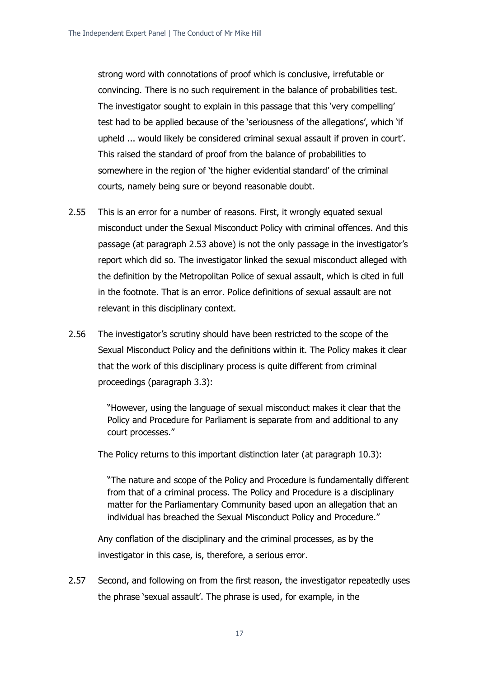strong word with connotations of proof which is conclusive, irrefutable or convincing. There is no such requirement in the balance of probabilities test. The investigator sought to explain in this passage that this 'very compelling' test had to be applied because of the 'seriousness of the allegations', which 'if upheld ... would likely be considered criminal sexual assault if proven in court'. This raised the standard of proof from the balance of probabilities to somewhere in the region of 'the higher evidential standard' of the criminal courts, namely being sure or beyond reasonable doubt.

- 2.55 This is an error for a number of reasons. First, it wrongly equated sexual misconduct under the Sexual Misconduct Policy with criminal offences. And this passage (at paragraph 2.53 above) is not the only passage in the investigator's report which did so. The investigator linked the sexual misconduct alleged with the definition by the Metropolitan Police of sexual assault, which is cited in full in the footnote. That is an error. Police definitions of sexual assault are not relevant in this disciplinary context.
- 2.56 The investigator's scrutiny should have been restricted to the scope of the Sexual Misconduct Policy and the definitions within it. The Policy makes it clear that the work of this disciplinary process is quite different from criminal proceedings (paragraph 3.3):

"However, using the language of sexual misconduct makes it clear that the Policy and Procedure for Parliament is separate from and additional to any court processes."

The Policy returns to this important distinction later (at paragraph 10.3):

"The nature and scope of the Policy and Procedure is fundamentally different from that of a criminal process. The Policy and Procedure is a disciplinary matter for the Parliamentary Community based upon an allegation that an individual has breached the Sexual Misconduct Policy and Procedure."

Any conflation of the disciplinary and the criminal processes, as by the investigator in this case, is, therefore, a serious error.

2.57 Second, and following on from the first reason, the investigator repeatedly uses the phrase 'sexual assault'. The phrase is used, for example, in the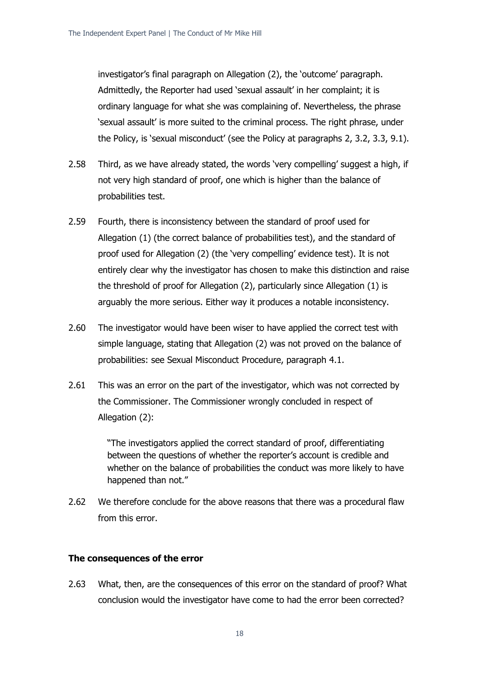investigator's final paragraph on Allegation (2), the 'outcome' paragraph. Admittedly, the Reporter had used 'sexual assault' in her complaint; it is ordinary language for what she was complaining of. Nevertheless, the phrase 'sexual assault' is more suited to the criminal process. The right phrase, under the Policy, is 'sexual misconduct' (see the Policy at paragraphs 2, 3.2, 3.3, 9.1).

- 2.58 Third, as we have already stated, the words 'very compelling' suggest a high, if not very high standard of proof, one which is higher than the balance of probabilities test.
- 2.59 Fourth, there is inconsistency between the standard of proof used for Allegation (1) (the correct balance of probabilities test), and the standard of proof used for Allegation (2) (the 'very compelling' evidence test). It is not entirely clear why the investigator has chosen to make this distinction and raise the threshold of proof for Allegation (2), particularly since Allegation (1) is arguably the more serious. Either way it produces a notable inconsistency.
- 2.60 The investigator would have been wiser to have applied the correct test with simple language, stating that Allegation (2) was not proved on the balance of probabilities: see Sexual Misconduct Procedure, paragraph 4.1.
- 2.61 This was an error on the part of the investigator, which was not corrected by the Commissioner. The Commissioner wrongly concluded in respect of Allegation (2):

"The investigators applied the correct standard of proof, differentiating between the questions of whether the reporter's account is credible and whether on the balance of probabilities the conduct was more likely to have happened than not."

2.62 We therefore conclude for the above reasons that there was a procedural flaw from this error.

#### **The consequences of the error**

2.63 What, then, are the consequences of this error on the standard of proof? What conclusion would the investigator have come to had the error been corrected?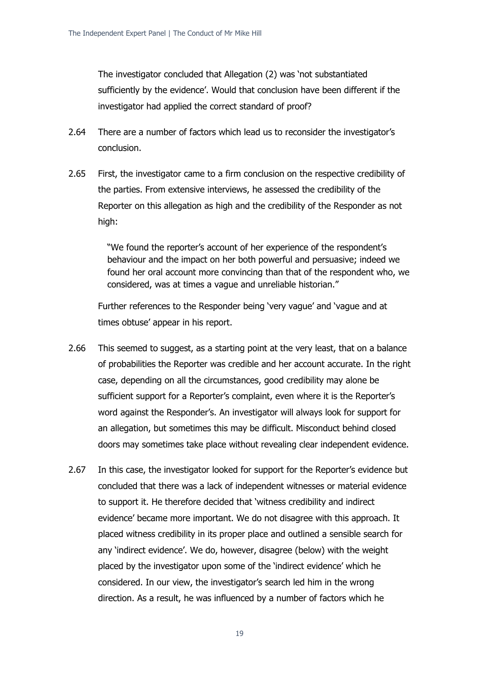The investigator concluded that Allegation (2) was 'not substantiated sufficiently by the evidence'. Would that conclusion have been different if the investigator had applied the correct standard of proof?

- 2.64 There are a number of factors which lead us to reconsider the investigator's conclusion.
- 2.65 First, the investigator came to a firm conclusion on the respective credibility of the parties. From extensive interviews, he assessed the credibility of the Reporter on this allegation as high and the credibility of the Responder as not high:

"We found the reporter's account of her experience of the respondent's behaviour and the impact on her both powerful and persuasive; indeed we found her oral account more convincing than that of the respondent who, we considered, was at times a vague and unreliable historian."

Further references to the Responder being 'very vague' and 'vague and at times obtuse' appear in his report.

- 2.66 This seemed to suggest, as a starting point at the very least, that on a balance of probabilities the Reporter was credible and her account accurate. In the right case, depending on all the circumstances, good credibility may alone be sufficient support for a Reporter's complaint, even where it is the Reporter's word against the Responder's. An investigator will always look for support for an allegation, but sometimes this may be difficult. Misconduct behind closed doors may sometimes take place without revealing clear independent evidence.
- 2.67 In this case, the investigator looked for support for the Reporter's evidence but concluded that there was a lack of independent witnesses or material evidence to support it. He therefore decided that 'witness credibility and indirect evidence' became more important. We do not disagree with this approach. It placed witness credibility in its proper place and outlined a sensible search for any 'indirect evidence'. We do, however, disagree (below) with the weight placed by the investigator upon some of the 'indirect evidence' which he considered. In our view, the investigator's search led him in the wrong direction. As a result, he was influenced by a number of factors which he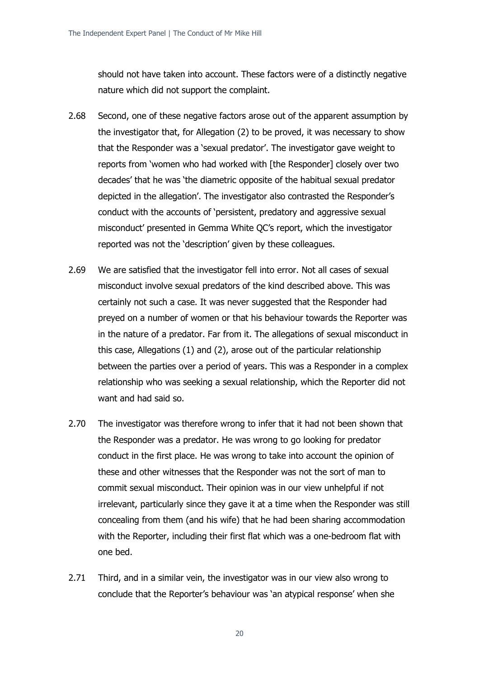should not have taken into account. These factors were of a distinctly negative nature which did not support the complaint.

- 2.68 Second, one of these negative factors arose out of the apparent assumption by the investigator that, for Allegation (2) to be proved, it was necessary to show that the Responder was a 'sexual predator'. The investigator gave weight to reports from 'women who had worked with [the Responder] closely over two decades' that he was 'the diametric opposite of the habitual sexual predator depicted in the allegation'. The investigator also contrasted the Responder's conduct with the accounts of 'persistent, predatory and aggressive sexual misconduct' presented in Gemma White QC's report, which the investigator reported was not the 'description' given by these colleagues.
- 2.69 We are satisfied that the investigator fell into error. Not all cases of sexual misconduct involve sexual predators of the kind described above. This was certainly not such a case. It was never suggested that the Responder had preyed on a number of women or that his behaviour towards the Reporter was in the nature of a predator. Far from it. The allegations of sexual misconduct in this case, Allegations (1) and (2), arose out of the particular relationship between the parties over a period of years. This was a Responder in a complex relationship who was seeking a sexual relationship, which the Reporter did not want and had said so.
- 2.70 The investigator was therefore wrong to infer that it had not been shown that the Responder was a predator. He was wrong to go looking for predator conduct in the first place. He was wrong to take into account the opinion of these and other witnesses that the Responder was not the sort of man to commit sexual misconduct. Their opinion was in our view unhelpful if not irrelevant, particularly since they gave it at a time when the Responder was still concealing from them (and his wife) that he had been sharing accommodation with the Reporter, including their first flat which was a one-bedroom flat with one bed.
- 2.71 Third, and in a similar vein, the investigator was in our view also wrong to conclude that the Reporter's behaviour was 'an atypical response' when she

20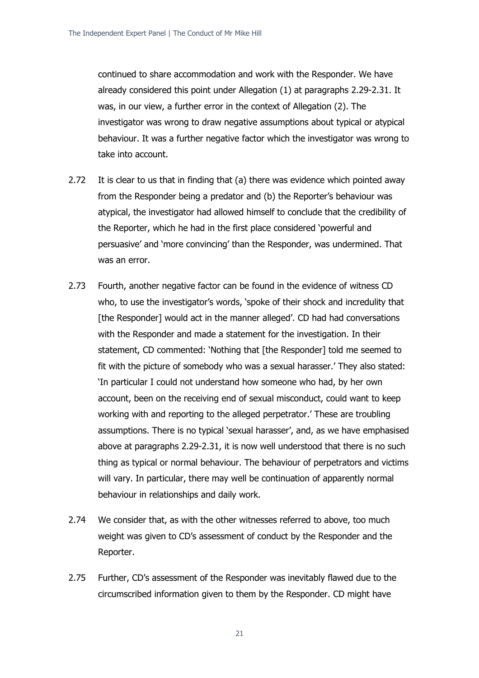continued to share accommodation and work with the Responder. We have already considered this point under Allegation (1) at paragraphs 2.29-2.31. It was, in our view, a further error in the context of Allegation (2). The investigator was wrong to draw negative assumptions about typical or atypical behaviour. It was a further negative factor which the investigator was wrong to take into account.

- 2.72 It is clear to us that in finding that (a) there was evidence which pointed away from the Responder being a predator and (b) the Reporter's behaviour was atypical, the investigator had allowed himself to conclude that the credibility of the Reporter, which he had in the first place considered 'powerful and persuasive' and 'more convincing' than the Responder, was undermined. That was an error.
- 2.73 Fourth, another negative factor can be found in the evidence of witness CD who, to use the investigator's words, 'spoke of their shock and incredulity that [the Responder] would act in the manner alleged'. CD had had conversations with the Responder and made a statement for the investigation. In their statement, CD commented: 'Nothing that [the Responder] told me seemed to fit with the picture of somebody who was a sexual harasser.' They also stated: 'In particular I could not understand how someone who had, by her own account, been on the receiving end of sexual misconduct, could want to keep working with and reporting to the alleged perpetrator.' These are troubling assumptions. There is no typical 'sexual harasser', and, as we have emphasised above at paragraphs 2.29-2.31, it is now well understood that there is no such thing as typical or normal behaviour. The behaviour of perpetrators and victims will vary. In particular, there may well be continuation of apparently normal behaviour in relationships and daily work.
- 2.74 We consider that, as with the other witnesses referred to above, too much weight was given to CD's assessment of conduct by the Responder and the Reporter.
- 2.75 Further, CD's assessment of the Responder was inevitably flawed due to the circumscribed information given to them by the Responder. CD might have

21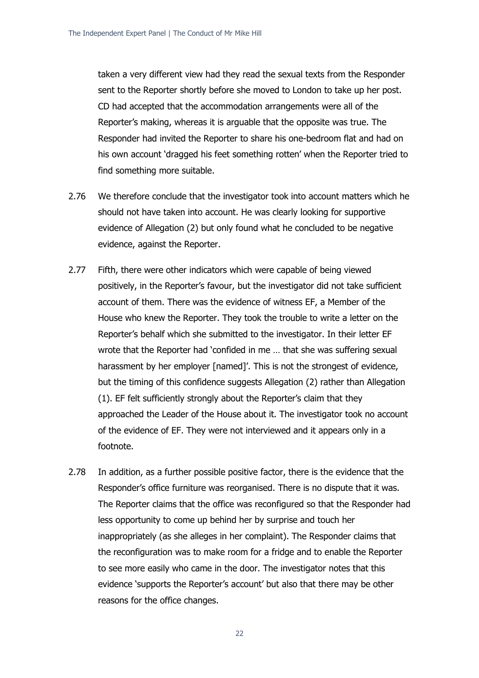taken a very different view had they read the sexual texts from the Responder sent to the Reporter shortly before she moved to London to take up her post. CD had accepted that the accommodation arrangements were all of the Reporter's making, whereas it is arguable that the opposite was true. The Responder had invited the Reporter to share his one-bedroom flat and had on his own account 'dragged his feet something rotten' when the Reporter tried to find something more suitable.

- 2.76 We therefore conclude that the investigator took into account matters which he should not have taken into account. He was clearly looking for supportive evidence of Allegation (2) but only found what he concluded to be negative evidence, against the Reporter.
- 2.77 Fifth, there were other indicators which were capable of being viewed positively, in the Reporter's favour, but the investigator did not take sufficient account of them. There was the evidence of witness EF, a Member of the House who knew the Reporter. They took the trouble to write a letter on the Reporter's behalf which she submitted to the investigator. In their letter EF wrote that the Reporter had 'confided in me … that she was suffering sexual harassment by her employer [named]'. This is not the strongest of evidence, but the timing of this confidence suggests Allegation (2) rather than Allegation (1). EF felt sufficiently strongly about the Reporter's claim that they approached the Leader of the House about it. The investigator took no account of the evidence of EF. They were not interviewed and it appears only in a footnote.
- 2.78 In addition, as a further possible positive factor, there is the evidence that the Responder's office furniture was reorganised. There is no dispute that it was. The Reporter claims that the office was reconfigured so that the Responder had less opportunity to come up behind her by surprise and touch her inappropriately (as she alleges in her complaint). The Responder claims that the reconfiguration was to make room for a fridge and to enable the Reporter to see more easily who came in the door. The investigator notes that this evidence 'supports the Reporter's account' but also that there may be other reasons for the office changes.
	- 22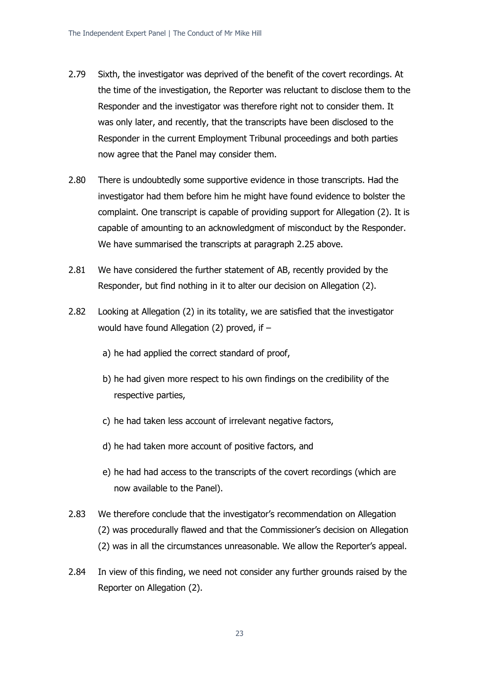- 2.79 Sixth, the investigator was deprived of the benefit of the covert recordings. At the time of the investigation, the Reporter was reluctant to disclose them to the Responder and the investigator was therefore right not to consider them. It was only later, and recently, that the transcripts have been disclosed to the Responder in the current Employment Tribunal proceedings and both parties now agree that the Panel may consider them.
- 2.80 There is undoubtedly some supportive evidence in those transcripts. Had the investigator had them before him he might have found evidence to bolster the complaint. One transcript is capable of providing support for Allegation (2). It is capable of amounting to an acknowledgment of misconduct by the Responder. We have summarised the transcripts at paragraph 2.25 above.
- 2.81 We have considered the further statement of AB, recently provided by the Responder, but find nothing in it to alter our decision on Allegation (2).
- 2.82 Looking at Allegation (2) in its totality, we are satisfied that the investigator would have found Allegation (2) proved, if –
	- a) he had applied the correct standard of proof,
	- b) he had given more respect to his own findings on the credibility of the respective parties,
	- c) he had taken less account of irrelevant negative factors,
	- d) he had taken more account of positive factors, and
	- e) he had had access to the transcripts of the covert recordings (which are now available to the Panel).
- 2.83 We therefore conclude that the investigator's recommendation on Allegation (2) was procedurally flawed and that the Commissioner's decision on Allegation (2) was in all the circumstances unreasonable. We allow the Reporter's appeal.
- 2.84 In view of this finding, we need not consider any further grounds raised by the Reporter on Allegation (2).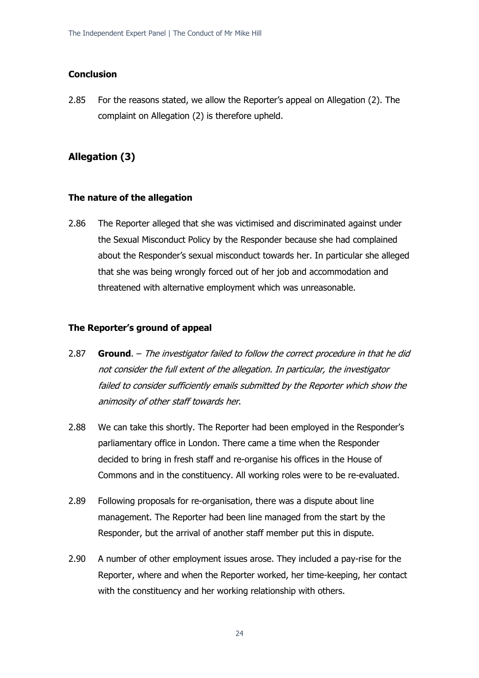#### **Conclusion**

2.85 For the reasons stated, we allow the Reporter's appeal on Allegation (2). The complaint on Allegation (2) is therefore upheld.

### **Allegation (3)**

#### **The nature of the allegation**

2.86 The Reporter alleged that she was victimised and discriminated against under the Sexual Misconduct Policy by the Responder because she had complained about the Responder's sexual misconduct towards her. In particular she alleged that she was being wrongly forced out of her job and accommodation and threatened with alternative employment which was unreasonable.

#### **The Reporter's ground of appeal**

- 2.87 **Ground**. The investigator failed to follow the correct procedure in that he did not consider the full extent of the allegation. In particular, the investigator failed to consider sufficiently emails submitted by the Reporter which show the animosity of other staff towards her.
- 2.88 We can take this shortly. The Reporter had been employed in the Responder's parliamentary office in London. There came a time when the Responder decided to bring in fresh staff and re-organise his offices in the House of Commons and in the constituency. All working roles were to be re-evaluated.
- 2.89 Following proposals for re-organisation, there was a dispute about line management. The Reporter had been line managed from the start by the Responder, but the arrival of another staff member put this in dispute.
- 2.90 A number of other employment issues arose. They included a pay-rise for the Reporter, where and when the Reporter worked, her time-keeping, her contact with the constituency and her working relationship with others.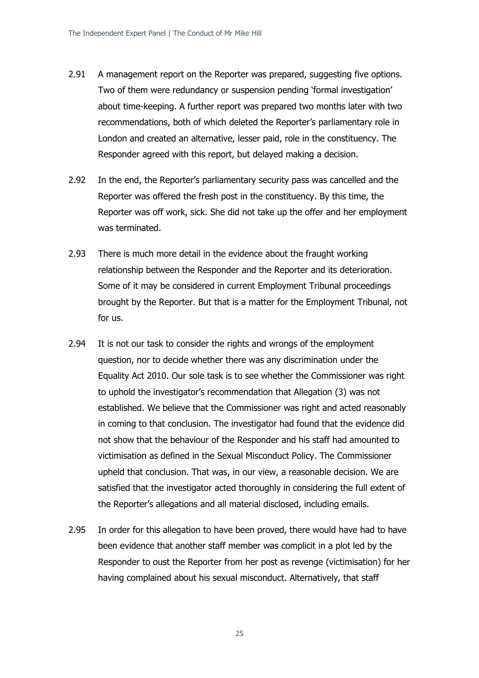- 2.91 A management report on the Reporter was prepared, suggesting five options. Two of them were redundancy or suspension pending 'formal investigation' about time-keeping. A further report was prepared two months later with two recommendations, both of which deleted the Reporter's parliamentary role in London and created an alternative, lesser paid, role in the constituency. The Responder agreed with this report, but delayed making a decision.
- 2.92 In the end, the Reporter's parliamentary security pass was cancelled and the Reporter was offered the fresh post in the constituency. By this time, the Reporter was off work, sick. She did not take up the offer and her employment was terminated.
- 2.93 There is much more detail in the evidence about the fraught working relationship between the Responder and the Reporter and its deterioration. Some of it may be considered in current Employment Tribunal proceedings brought by the Reporter. But that is a matter for the Employment Tribunal, not for us.
- 2.94 It is not our task to consider the rights and wrongs of the employment question, nor to decide whether there was any discrimination under the Equality Act 2010. Our sole task is to see whether the Commissioner was right to uphold the investigator's recommendation that Allegation (3) was not established. We believe that the Commissioner was right and acted reasonably in coming to that conclusion. The investigator had found that the evidence did not show that the behaviour of the Responder and his staff had amounted to victimisation as defined in the Sexual Misconduct Policy. The Commissioner upheld that conclusion. That was, in our view, a reasonable decision. We are satisfied that the investigator acted thoroughly in considering the full extent of the Reporter's allegations and all material disclosed, including emails.
- 2.95 In order for this allegation to have been proved, there would have had to have been evidence that another staff member was complicit in a plot led by the Responder to oust the Reporter from her post as revenge (victimisation) for her having complained about his sexual misconduct. Alternatively, that staff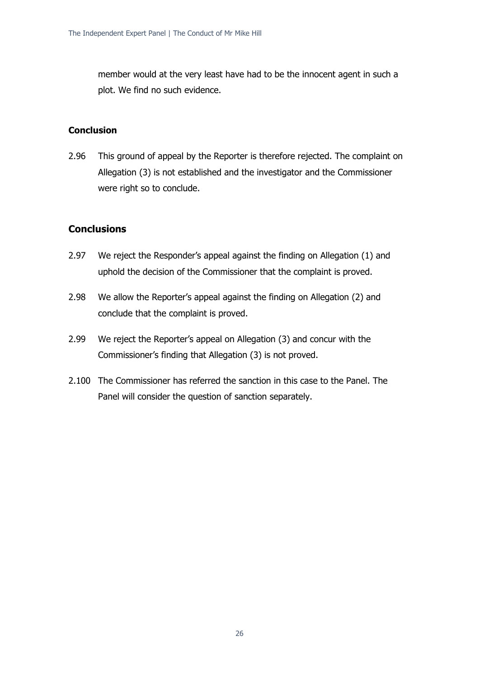member would at the very least have had to be the innocent agent in such a plot. We find no such evidence.

# **Conclusion**

2.96 This ground of appeal by the Reporter is therefore rejected. The complaint on Allegation (3) is not established and the investigator and the Commissioner were right so to conclude.

# **Conclusions**

- 2.97 We reject the Responder's appeal against the finding on Allegation (1) and uphold the decision of the Commissioner that the complaint is proved.
- 2.98 We allow the Reporter's appeal against the finding on Allegation (2) and conclude that the complaint is proved.
- 2.99 We reject the Reporter's appeal on Allegation (3) and concur with the Commissioner's finding that Allegation (3) is not proved.
- 2.100 The Commissioner has referred the sanction in this case to the Panel. The Panel will consider the question of sanction separately.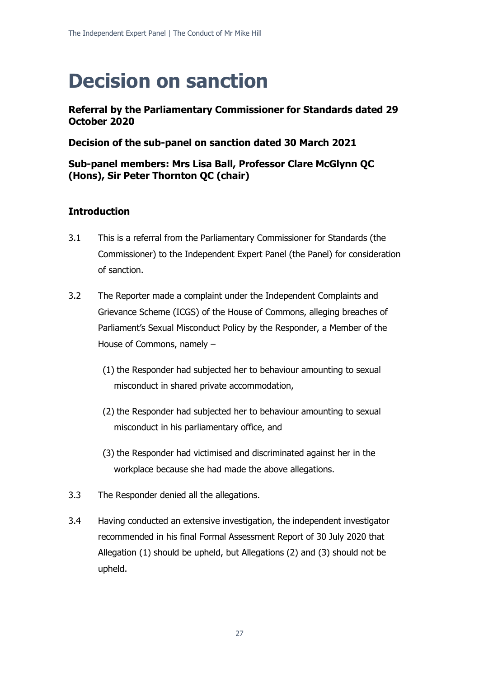# **Decision on sanction**

# **Referral by the Parliamentary Commissioner for Standards dated 29 October 2020**

# **Decision of the sub-panel on sanction dated 30 March 2021**

# **Sub-panel members: Mrs Lisa Ball, Professor Clare McGlynn QC (Hons), Sir Peter Thornton QC (chair)**

# **Introduction**

- 3.1 This is a referral from the Parliamentary Commissioner for Standards (the Commissioner) to the Independent Expert Panel (the Panel) for consideration of sanction.
- 3.2 The Reporter made a complaint under the Independent Complaints and Grievance Scheme (ICGS) of the House of Commons, alleging breaches of Parliament's Sexual Misconduct Policy by the Responder, a Member of the House of Commons, namely –
	- (1) the Responder had subjected her to behaviour amounting to sexual misconduct in shared private accommodation,
	- (2) the Responder had subjected her to behaviour amounting to sexual misconduct in his parliamentary office, and
	- (3) the Responder had victimised and discriminated against her in the workplace because she had made the above allegations.
- 3.3 The Responder denied all the allegations.
- 3.4 Having conducted an extensive investigation, the independent investigator recommended in his final Formal Assessment Report of 30 July 2020 that Allegation (1) should be upheld, but Allegations (2) and (3) should not be upheld.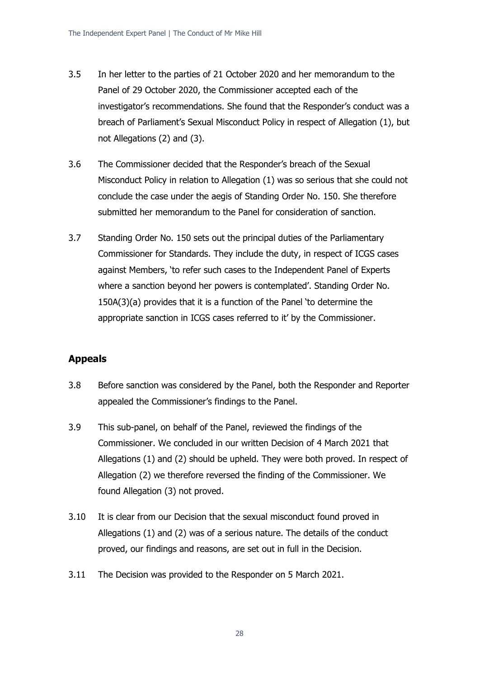- 3.5 In her letter to the parties of 21 October 2020 and her memorandum to the Panel of 29 October 2020, the Commissioner accepted each of the investigator's recommendations. She found that the Responder's conduct was a breach of Parliament's Sexual Misconduct Policy in respect of Allegation (1), but not Allegations (2) and (3).
- 3.6 The Commissioner decided that the Responder's breach of the Sexual Misconduct Policy in relation to Allegation (1) was so serious that she could not conclude the case under the aegis of Standing Order No. 150. She therefore submitted her memorandum to the Panel for consideration of sanction.
- 3.7 Standing Order No. 150 sets out the principal duties of the Parliamentary Commissioner for Standards. They include the duty, in respect of ICGS cases against Members, 'to refer such cases to the Independent Panel of Experts where a sanction beyond her powers is contemplated'. Standing Order No. 150A(3)(a) provides that it is a function of the Panel 'to determine the appropriate sanction in ICGS cases referred to it' by the Commissioner.

# **Appeals**

- 3.8 Before sanction was considered by the Panel, both the Responder and Reporter appealed the Commissioner's findings to the Panel.
- 3.9 This sub-panel, on behalf of the Panel, reviewed the findings of the Commissioner. We concluded in our written Decision of 4 March 2021 that Allegations (1) and (2) should be upheld. They were both proved. In respect of Allegation (2) we therefore reversed the finding of the Commissioner. We found Allegation (3) not proved.
- 3.10 It is clear from our Decision that the sexual misconduct found proved in Allegations (1) and (2) was of a serious nature. The details of the conduct proved, our findings and reasons, are set out in full in the Decision.
- 3.11 The Decision was provided to the Responder on 5 March 2021.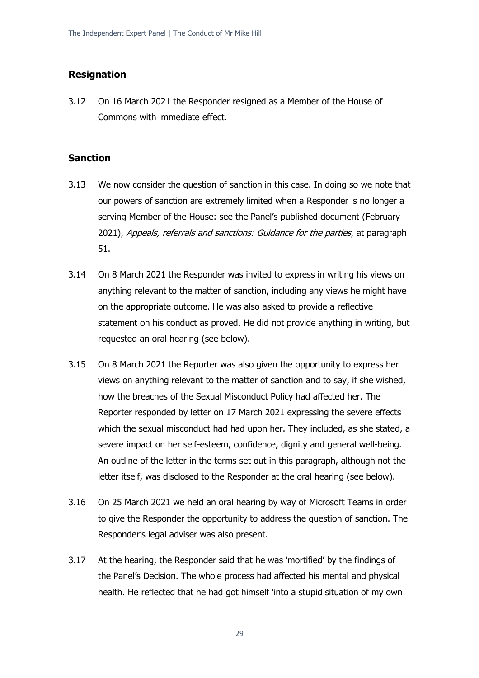### **Resignation**

3.12 On 16 March 2021 the Responder resigned as a Member of the House of Commons with immediate effect.

### **Sanction**

- 3.13 We now consider the question of sanction in this case. In doing so we note that our powers of sanction are extremely limited when a Responder is no longer a serving Member of the House: see the Panel's published document (February 2021), Appeals, referrals and sanctions: Guidance for the parties, at paragraph 51.
- 3.14 On 8 March 2021 the Responder was invited to express in writing his views on anything relevant to the matter of sanction, including any views he might have on the appropriate outcome. He was also asked to provide a reflective statement on his conduct as proved. He did not provide anything in writing, but requested an oral hearing (see below).
- 3.15 On 8 March 2021 the Reporter was also given the opportunity to express her views on anything relevant to the matter of sanction and to say, if she wished, how the breaches of the Sexual Misconduct Policy had affected her. The Reporter responded by letter on 17 March 2021 expressing the severe effects which the sexual misconduct had had upon her. They included, as she stated, a severe impact on her self-esteem, confidence, dignity and general well-being. An outline of the letter in the terms set out in this paragraph, although not the letter itself, was disclosed to the Responder at the oral hearing (see below).
- 3.16 On 25 March 2021 we held an oral hearing by way of Microsoft Teams in order to give the Responder the opportunity to address the question of sanction. The Responder's legal adviser was also present.
- 3.17 At the hearing, the Responder said that he was 'mortified' by the findings of the Panel's Decision. The whole process had affected his mental and physical health. He reflected that he had got himself 'into a stupid situation of my own